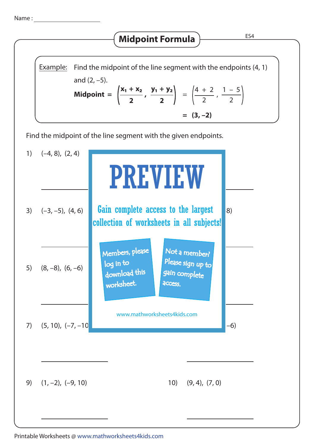